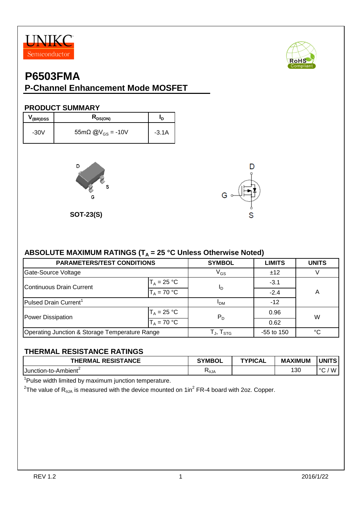



#### **P-Channel Enhancement Mode MOSFET**

#### **PRODUCT SUMMARY**

| <sup>V</sup> (BR)DSS | $R_{DS(ON)}$                        | חי      |
|----------------------|-------------------------------------|---------|
| $-30V$               | $55m\Omega$ @V <sub>GS</sub> = -10V | $-3.1A$ |



**SOT-23(S)**



#### ABSOLUTE MAXIMUM RATINGS (T<sub>A</sub> = 25 °C Unless Otherwise Noted)

| <b>PARAMETERS/TEST CONDITIONS</b>              | <b>SYMBOL</b>            | <b>LIMITS</b> | <b>UNITS</b> |   |  |
|------------------------------------------------|--------------------------|---------------|--------------|---|--|
| Gate-Source Voltage                            |                          | $V_{GS}$      | ±12          |   |  |
| Continuous Drain Current                       | $T_A = 25 °C$            |               | $-3.1$       |   |  |
|                                                | In<br>$T_A = 70 °C$      |               | $-2.4$       | A |  |
| Pulsed Drain Current <sup>1</sup>              |                          | <b>IDM</b>    | $-12$        |   |  |
| Power Dissipation                              | $T_A = 25 °C$            | $P_D$         | 0.96         | W |  |
|                                                | $T_A = 70 °C$            |               | 0.62         |   |  |
| Operating Junction & Storage Temperature Range | $T_{\sf J}, T_{\sf STG}$ | -55 to 150    | °C           |   |  |

#### **THERMAL RESISTANCE RATINGS**

| <b>RESISTANCE</b><br><b>THERMAL</b> | <b>SYMBOL</b>             | <b>TYPICAL</b> | <b>MAXIMUM</b> | <b>UNITS</b>       |
|-------------------------------------|---------------------------|----------------|----------------|--------------------|
| 1Junction-to-Ambient <sup>-</sup>   | $\mathcal{A}_{\theta}$ JA |                | 130            | W<br>$\cdot \circ$ |

<sup>1</sup>Pulse width limited by maximum junction temperature.

 $^2$ The value of R $_{\rm \thetaJA}$  is measured with the device mounted on 1in $^2$  FR-4 board with 2oz. Copper.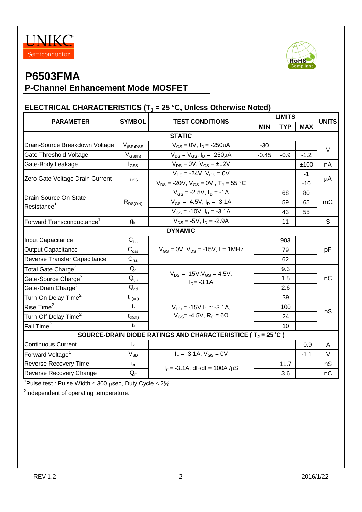



### **P-Channel Enhancement Mode MOSFET**

#### **ELECTRICAL CHARACTERISTICS (T<sup>J</sup> = 25 °C, Unless Otherwise Noted)**

| <b>SYMBOL</b><br>$V_{(BR)DSS}$<br>$V_{GS(th)}$<br>$I_{GSS}$<br>$I_{DSS}$<br>$R_{DS(ON)}$                               | <b>TEST CONDITIONS</b><br><b>STATIC</b><br>$V_{GS} = 0V$ , $I_D = -250 \mu A$<br>$V_{DS} = V_{GS}$ , $I_D = -250 \mu A$<br>$V_{DS} = 0V$ , $V_{GS} = \pm 12V$<br>$V_{DS}$ = -24V, $V_{GS}$ = 0V<br>$V_{DS}$ = -20V, $V_{GS}$ = 0V, $T_J$ = 55 °C<br>$V_{GS}$ = -2.5V, $I_D$ = -1A | <b>MIN</b><br>$-30$<br>$-0.45$                                                                                                               | <b>TYP</b><br>$-0.9$ | <b>MAX</b><br>$-1.2$<br>±100<br>-1 | <b>UNITS</b><br>$\vee$<br>nA |  |  |
|------------------------------------------------------------------------------------------------------------------------|-----------------------------------------------------------------------------------------------------------------------------------------------------------------------------------------------------------------------------------------------------------------------------------|----------------------------------------------------------------------------------------------------------------------------------------------|----------------------|------------------------------------|------------------------------|--|--|
|                                                                                                                        |                                                                                                                                                                                                                                                                                   |                                                                                                                                              |                      |                                    |                              |  |  |
|                                                                                                                        |                                                                                                                                                                                                                                                                                   |                                                                                                                                              |                      |                                    |                              |  |  |
|                                                                                                                        |                                                                                                                                                                                                                                                                                   |                                                                                                                                              |                      |                                    |                              |  |  |
|                                                                                                                        |                                                                                                                                                                                                                                                                                   |                                                                                                                                              |                      |                                    |                              |  |  |
|                                                                                                                        |                                                                                                                                                                                                                                                                                   |                                                                                                                                              |                      |                                    |                              |  |  |
|                                                                                                                        |                                                                                                                                                                                                                                                                                   |                                                                                                                                              |                      |                                    |                              |  |  |
|                                                                                                                        |                                                                                                                                                                                                                                                                                   |                                                                                                                                              |                      | $-10$                              | μA                           |  |  |
|                                                                                                                        |                                                                                                                                                                                                                                                                                   |                                                                                                                                              | 68                   |                                    |                              |  |  |
|                                                                                                                        |                                                                                                                                                                                                                                                                                   |                                                                                                                                              | 59                   | 65                                 | $m\Omega$                    |  |  |
|                                                                                                                        | $V_{GS}$ = -10V, $I_D$ = -3.1A                                                                                                                                                                                                                                                    | 43<br>55                                                                                                                                     |                      |                                    |                              |  |  |
| $g_{fs}$                                                                                                               | $V_{DS}$ = -5V, $I_D$ = -2.9A                                                                                                                                                                                                                                                     |                                                                                                                                              | 11                   |                                    | S                            |  |  |
| <b>DYNAMIC</b>                                                                                                         |                                                                                                                                                                                                                                                                                   |                                                                                                                                              |                      |                                    |                              |  |  |
| $C_{iss}$                                                                                                              |                                                                                                                                                                                                                                                                                   |                                                                                                                                              | 903                  |                                    | pF                           |  |  |
| $C_{\rm oss}$                                                                                                          | $V_{GS}$ = 0V, $V_{DS}$ = -15V, f = 1MHz                                                                                                                                                                                                                                          |                                                                                                                                              | 79                   |                                    |                              |  |  |
| $C_{\text{rss}}$                                                                                                       |                                                                                                                                                                                                                                                                                   |                                                                                                                                              | 62                   |                                    |                              |  |  |
| $Q_{q}$                                                                                                                |                                                                                                                                                                                                                                                                                   |                                                                                                                                              | 9.3                  |                                    | nC                           |  |  |
| $Q_{gs}$                                                                                                               |                                                                                                                                                                                                                                                                                   |                                                                                                                                              | 1.5                  |                                    |                              |  |  |
| $Q_{\text{gd}}$                                                                                                        |                                                                                                                                                                                                                                                                                   |                                                                                                                                              | 2.6                  |                                    |                              |  |  |
| $t_{d(on)}$                                                                                                            |                                                                                                                                                                                                                                                                                   |                                                                                                                                              | 39                   |                                    |                              |  |  |
| $t_{r}$<br>$V_{DD} = -15V I_D \approx -3.1A$ ,<br>$V_{GS}$ = -4.5V, R <sub>G</sub> = 6 $\Omega$<br>$t_{d(\text{off})}$ |                                                                                                                                                                                                                                                                                   |                                                                                                                                              | 100                  |                                    | nS                           |  |  |
|                                                                                                                        |                                                                                                                                                                                                                                                                                   |                                                                                                                                              | 24                   |                                    |                              |  |  |
| $t_{\rm f}$                                                                                                            |                                                                                                                                                                                                                                                                                   |                                                                                                                                              | 10                   |                                    |                              |  |  |
| SOURCE-DRAIN DIODE RATINGS AND CHARACTERISTICE ( $T_J = 25 \degree C$ )                                                |                                                                                                                                                                                                                                                                                   |                                                                                                                                              |                      |                                    |                              |  |  |
| $I_{\rm S}$                                                                                                            |                                                                                                                                                                                                                                                                                   |                                                                                                                                              |                      | $-0.9$                             | A                            |  |  |
| $V_{SD}$                                                                                                               | $I_F = -3.1A$ , $V_{GS} = 0V$                                                                                                                                                                                                                                                     |                                                                                                                                              |                      | $-1.1$                             | $\vee$                       |  |  |
| $t_{rr}$                                                                                                               |                                                                                                                                                                                                                                                                                   |                                                                                                                                              | 11.7                 |                                    | nS                           |  |  |
| $Q_{rr}$                                                                                                               |                                                                                                                                                                                                                                                                                   |                                                                                                                                              | 3.6                  |                                    | nC                           |  |  |
|                                                                                                                        |                                                                                                                                                                                                                                                                                   | $V_{GS} = -4.5V$ , $I_D = -3.1A$<br>$V_{DS}$ = -15V, $V_{GS}$ =-4.5V,<br>$ID= -3.1A$<br>$I_F = -3.1A$ , dl <sub>F</sub> /dt = 100A / $\mu$ S |                      |                                    | 80                           |  |  |

<sup>1</sup>Pulse test : Pulse Width  $\leq 300$  µsec, Duty Cycle  $\leq 2\%$ .

<sup>2</sup>Independent of operating temperature.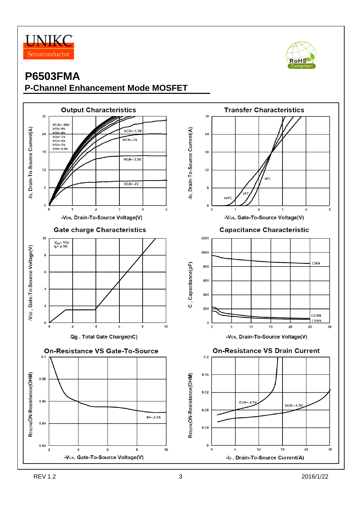



#### **P6503FMA P-Channel Enhancement Mode MOSFET**

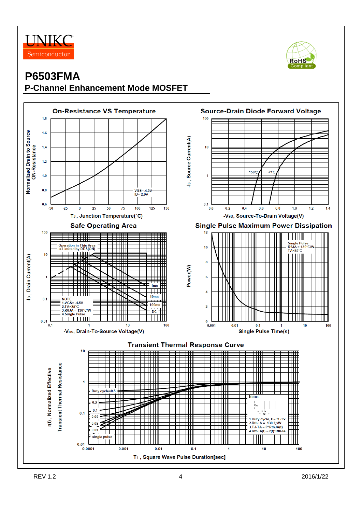



### **P6503FMA P-Channel Enhancement Mode MOSFET**

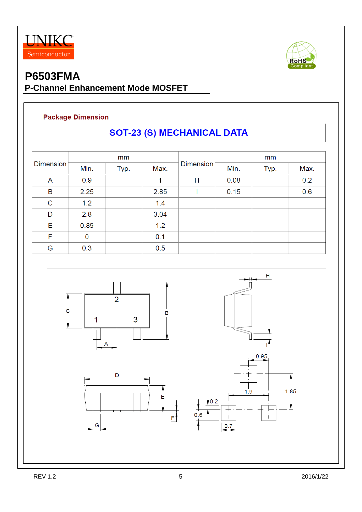



### **P6503FMA P-Channel Enhancement Mode MOSFET**

#### **Package Dimension**

# **SOT-23 (S) MECHANICAL DATA**

| <b>Dimension</b> | mm   |      |      |                  | mm   |      |      |
|------------------|------|------|------|------------------|------|------|------|
|                  | Min. | Typ. | Max. | <b>Dimension</b> | Min. | Typ. | Max. |
| A                | 0.9  |      |      | Н                | 0.08 |      | 0.2  |
| B                | 2.25 |      | 2.85 |                  | 0.15 |      | 0.6  |
| $\mathbf C$      | 1.2  |      | 1.4  |                  |      |      |      |
| D                | 2.8  |      | 3.04 |                  |      |      |      |
| Е                | 0.89 |      | 1.2  |                  |      |      |      |
| F                | 0    |      | 0.1  |                  |      |      |      |
| G                | 0.3  |      | 0.5  |                  |      |      |      |

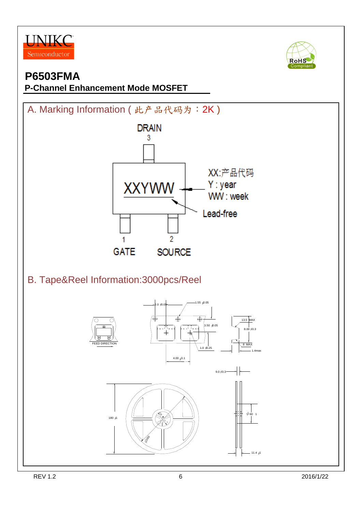





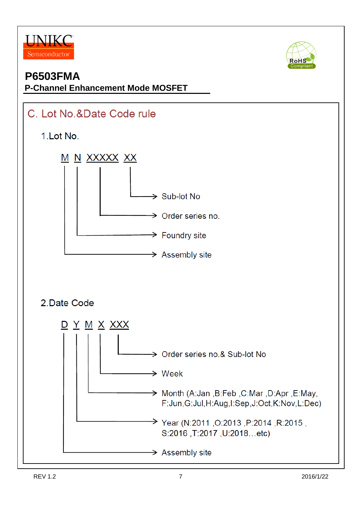